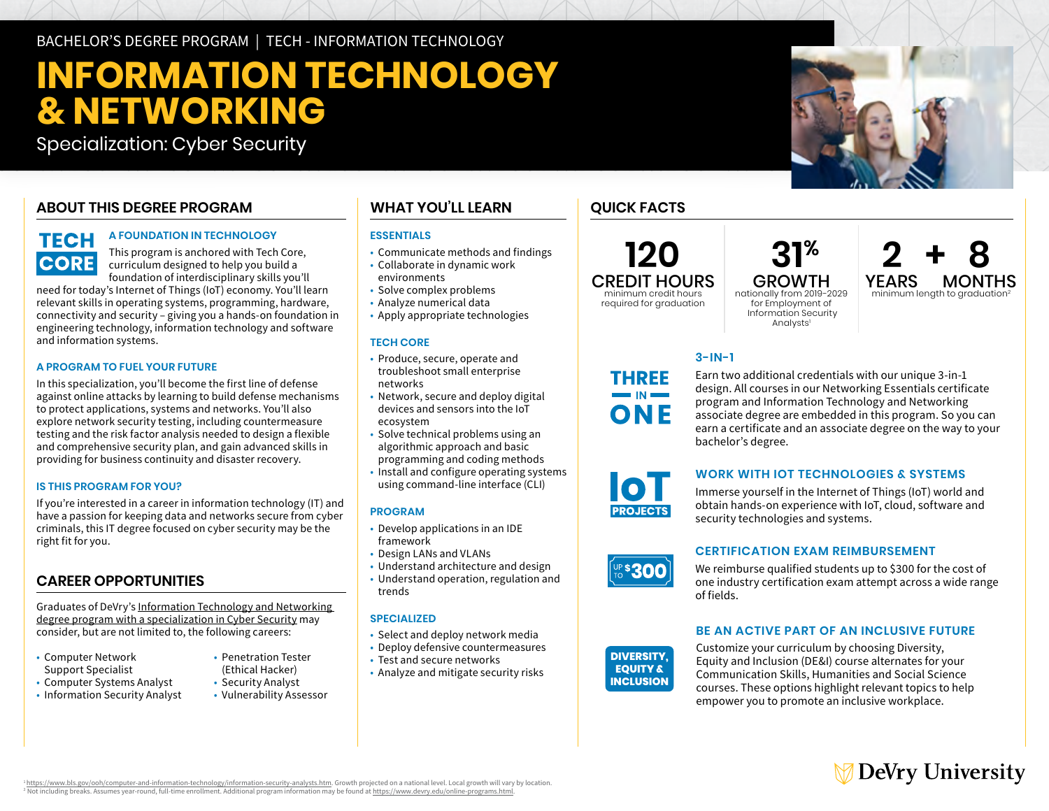BACHELOR'S DEGREE PROGRAM | TECH - INFORMATION TECHNOLOGY

# **INFORMATION TECHNOLOGY & NETWORKING**

Specialization: Cyber Security

# **ABOUT THIS DEGREE PROGRAM**

# **TECH CORE**

### **A FOUNDATION IN TECHNOLOGY**

This program is anchored with Tech Core, curriculum designed to help you build a foundation of interdisciplinary skills you'll

need for today's Internet of Things (IoT) economy. You'll learn relevant skills in operating systems, programming, hardware, connectivity and security – giving you a hands-on foundation in engineering technology, information technology and software and information systems.

#### **A PROGRAM TO FUEL YOUR FUTURE**

In this specialization, you'll become the first line of defense against online attacks by learning to build defense mechanisms to protect applications, systems and networks. You'll also explore network security testing, including countermeasure testing and the risk factor analysis needed to design a flexible and comprehensive security plan, and gain advanced skills in providing for business continuity and disaster recovery.

#### **IS THIS PROGRAM FOR YOU?**

If you're interested in a career in information technology (IT) and have a passion for keeping data and networks secure from cyber criminals, this IT degree focused on cyber security may be the right fit for you.

# **CAREER OPPORTUNITIES**

Graduates of DeVry's [Information Technology and Networking](https://www.devry.edu/online-programs/bachelors-degrees/information-technology-and-networking/cybersecurity-specialization.html)  [degree program with a specialization in Cyber Security](https://www.devry.edu/online-programs/bachelors-degrees/information-technology-and-networking/cybersecurity-specialization.html) may consider, but are not limited to, the following careers:

- Computer Network Penetration Tester Support Specialist (Ethical Hacker)
- Computer Systems Analyst Security Analyst<br>• Information Security Analyst Vulnerability Assessor
- Information Security Analyst

**WHAT YOU'LL LEARN** 

# **ESSENTIALS**

- Communicate methods and findings
- Collaborate in dynamic work environments
- Solve complex problems
- Analyze numerical data
- Apply appropriate technologies

### **TECH CORE**

- Produce, secure, operate and troubleshoot small enterprise networks
- Network, secure and deploy digital devices and sensors into the IoT ecosystem
- Solve technical problems using an algorithmic approach and basic
- programming and coding methods
- • Install and configure operating systems using command-line interface (CLI)

### **PROGRAM**

- Develop applications in an IDE framework
- Design LANs and VLANs
- Understand architecture and design
- Understand operation, regulation and trends

### **SPECIALIZED**

- Select and deploy network media
- Deploy defensive countermeasures
- Test and secure networks
- Analyze and mitigate security risks

# **QUICK FACTS**

**120**  CREDIT HOURS minimum credit hours

required for graduation

**THREE** 

ONF

nationally from 2019-2029 for Employment of Information Security Analysts<sup>1</sup>

# $31<sup>%</sup>$   $2 + 8$ <br>GROWTH YEARS MONTHS GROWTH YEARS MONTHS<br>onally from 2019-2029 minimum length to graduation<sup>2</sup>

# **3-IN-1**

Earn two additional credentials with our unique 3-in-1 design. All courses in our Networking Essentials certificate program and Information Technology and Networking associate degree are embedded in this program. So you can earn a certificate and an associate degree on the way to your bachelor's degree.

# **WORK WITH IOT TECHNOLOGIES & SYSTEMS**

Immerse yourself in the Internet of Things (IoT) world and obtain hands-on experience with IoT, cloud, software and security technologies and systems.

# **CERTIFICATION EXAM REIMBURSEMENT**

We reimburse qualified students up to \$300 for the cost of one industry certification exam attempt across a wide range of fields.

# **BE AN ACTIVE PART OF AN INCLUSIVE FUTURE**

**DIVERSITY, EQUITY & INCLUSION**  Customize your curriculum by choosing Diversity, Equity and Inclusion (DE&I) course alternates for your Communication Skills, Humanities and Social Science courses. These options highlight relevant topics to help empower you to promote an inclusive workplace.

# ∕ DeVry University

1 https://www.bls.gov/ooh/computer-and-information-technology/information-security-analysts.htm. Growth projected on a national level. Local growth will vary by location. 2 Not including breaks. Assumes year-round, full-time enrollment. Additional program information may be found at<https://www.devry.edu/online-programs.html>.



**UP\$300**